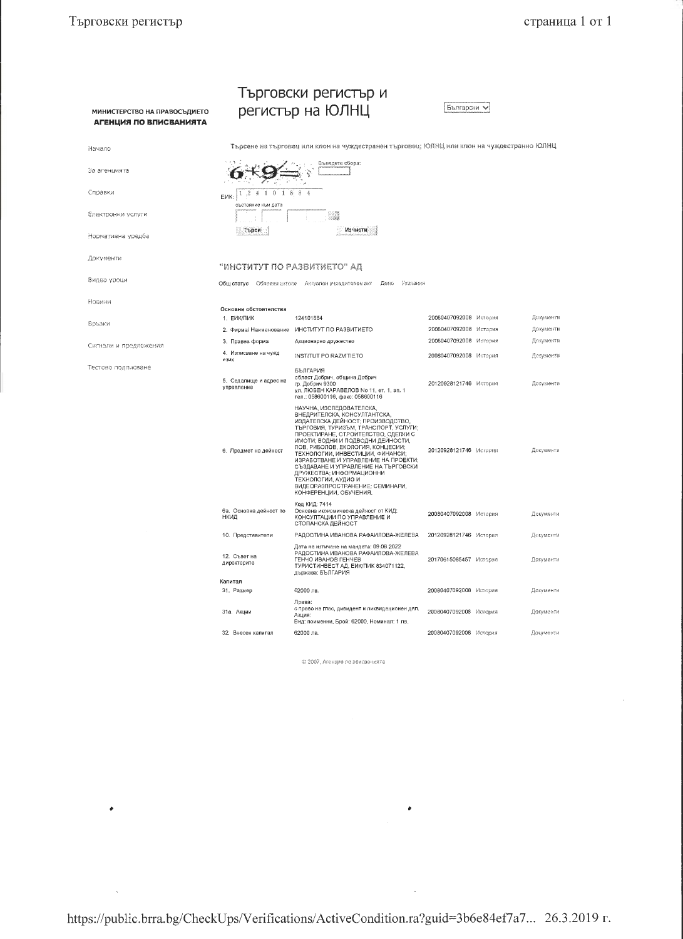$\bullet$ 

 $\bar{\mathcal{A}}$ 

 $\hat{\epsilon}$ 

|                                                        | Търговски регистър и                                                                      |                                                                                                                                                                                                                                                                                                                                                                                                                                                                                            |                        |  |           |  |  |  |
|--------------------------------------------------------|-------------------------------------------------------------------------------------------|--------------------------------------------------------------------------------------------------------------------------------------------------------------------------------------------------------------------------------------------------------------------------------------------------------------------------------------------------------------------------------------------------------------------------------------------------------------------------------------------|------------------------|--|-----------|--|--|--|
| МИНИСТЕРСТВО НА ПРАВОСЪДИЕТО<br>АГЕНЦИЯ ПО ВПИСВАНИЯТА | регистър на ЮЛНЦ                                                                          | Български                                                                                                                                                                                                                                                                                                                                                                                                                                                                                  |                        |  |           |  |  |  |
| Начало                                                 | Търсене на търговец или клон на чуждестранен търговец; ЮЛНЦ или клон на чуждестранно ЮЛНЦ |                                                                                                                                                                                                                                                                                                                                                                                                                                                                                            |                        |  |           |  |  |  |
| За агенцията                                           | Въведете сбора:                                                                           |                                                                                                                                                                                                                                                                                                                                                                                                                                                                                            |                        |  |           |  |  |  |
| Справки                                                | $1.2$ $4$ 1 0 1 8 8 4<br>F <sub>MK</sub>                                                  |                                                                                                                                                                                                                                                                                                                                                                                                                                                                                            |                        |  |           |  |  |  |
| Електронни услуги                                      | състояние към дата                                                                        |                                                                                                                                                                                                                                                                                                                                                                                                                                                                                            |                        |  |           |  |  |  |
| Нормативна уредба                                      | Търси                                                                                     | Изчисти                                                                                                                                                                                                                                                                                                                                                                                                                                                                                    |                        |  |           |  |  |  |
| Документи                                              | "ИНСТИТУТ ПО РАЗВИТИЕТО" АД                                                               |                                                                                                                                                                                                                                                                                                                                                                                                                                                                                            |                        |  |           |  |  |  |
| Видео уроци                                            | Общ статус Обявени актове Актуален учредителен акт<br><b>Beno</b><br>Указания             |                                                                                                                                                                                                                                                                                                                                                                                                                                                                                            |                        |  |           |  |  |  |
| Новини                                                 | Основни обстоятелства<br>1. ЕИК/ПИК                                                       | 124101884                                                                                                                                                                                                                                                                                                                                                                                                                                                                                  | 20080407092008 История |  | Документи |  |  |  |
| Връзки                                                 | 2. Фирма/ Наименование                                                                    | ИНСТИТУТ ПО РАЗВИТИЕТО                                                                                                                                                                                                                                                                                                                                                                                                                                                                     | 20080407092008 История |  | Документи |  |  |  |
|                                                        | 3. Правна форма                                                                           | Акционерно дружество                                                                                                                                                                                                                                                                                                                                                                                                                                                                       | 20080407092008 История |  | Документи |  |  |  |
| Сигнали и предложения                                  | 4. Излисване на чужд<br>език                                                              | INSTITUT PO RAZVITIETO                                                                                                                                                                                                                                                                                                                                                                                                                                                                     | 20080407092008 История |  | Документи |  |  |  |
| Тестово подписване                                     | 5. Седалище и адрес на<br>управление                                                      | БЪЛГАРИЯ<br>област Добрич, община Добрич<br>гр. Добрич 9300<br>ул. ЛЮБЕН КАРАВЕЛОВ No 11, ет. 1, ап. 1<br>тел.: 058600116, факс: 058600116                                                                                                                                                                                                                                                                                                                                                 | 20120928121746 История |  | Документи |  |  |  |
|                                                        | 6. Предмет на дейност                                                                     | НАУЧНА, ИЗСЛЕДОВАТЕЛСКА,<br>ВНЕДРИТЕЛСКА, КОНСУЛТАНТСКА,<br>ИЗДАТЕЛСКА ДЕЙНОСТ: ПРОИЗВОДСТВО,<br>ТЪРГОВИЯ, ТУРИЗЪМ, ТРАНСПОРТ, УСЛУГИ;<br>ПРОЕКТИРАНЕ, СТРОИТЕЛСТВО, СДЕЛКИ С<br>ИМОТИ; ВОДНИ И ПОДВОДНИ ДЕЙНОСТИ,<br>ЛОВ, РИБОЛОВ, ЕКОЛОГИЯ, КОНЦЕСИИ;<br>ТЕХНОЛОГИИ, ИНВЕСТИЦИИ, ФИНАНСИ;<br>ИЗРАБОТВАНЕ И УПРАВЛЕНИЕ НА ПРОЕКТИ;<br>СЪЗДАВАНЕ И УПРАВЛЕНИЕ НА ТЪРГОВСКИ<br>ДРУЖЕСТВА; ИНФОРМАЦИОННИ<br>ТЕХНОЛОГИИ, АУДИО И<br>ВИДЕОРАЗПРОСТРАНЕНИЕ; СЕМИНАРИ,<br>КОНФЕРЕНЦИИ, ОБУЧЕНИЯ. | 20120928121746 История |  | Документи |  |  |  |
|                                                        | ба. Основна дейност по<br>нкид                                                            | Код КИД: 7414<br>Основна икономическа дейност от КИД:<br>КОНСУЛТАЦИИ ПО УПРАВЛЕНИЕ И<br>СТОПАНСКА ДЕЙНОСТ                                                                                                                                                                                                                                                                                                                                                                                  | 20080407092008 История |  | Документи |  |  |  |
|                                                        | 10. Представители                                                                         | РАДОСТИНА ИВАНОВА РАФАИЛОВА-ЖЕЛЕВА                                                                                                                                                                                                                                                                                                                                                                                                                                                         | 20120928121746 История |  | Документи |  |  |  |
|                                                        | 12. Съвет на<br>директорите                                                               | Дата на изтичане на мандата: 09.06.2022<br>РАДОСТИНА ИВАНОВА РАФАИЛОВА-ЖЕЛЕВА<br>ГЕНЧО ИВАНОВ ГЕНЧЕВ<br>ТУРИСТИНВЕСТ АД, ЕИК/ПИК 834071122,<br>държава: БЪЛГАРИЯ                                                                                                                                                                                                                                                                                                                           | 20170615085457 История |  | Документи |  |  |  |
|                                                        | Капитал<br>31. Размер                                                                     | 62000 лв.                                                                                                                                                                                                                                                                                                                                                                                                                                                                                  | 20080407092008 История |  | Документи |  |  |  |
|                                                        | 31а. Акции                                                                                | Права:<br>с право на глас, дивидент и ликвидационен дял.<br>Акция:<br>Вид: поименни, Брой: 62000, Номинал: 1 лв.                                                                                                                                                                                                                                                                                                                                                                           | 20080407092008 История |  | Документи |  |  |  |
|                                                        | 32. Внесен капитал                                                                        | 62000 лв.                                                                                                                                                                                                                                                                                                                                                                                                                                                                                  | 20080407092008 История |  | Документи |  |  |  |

© 2007, Агенция по вписванията

 $\bullet$ 

 $\bar{\mathcal{L}}$